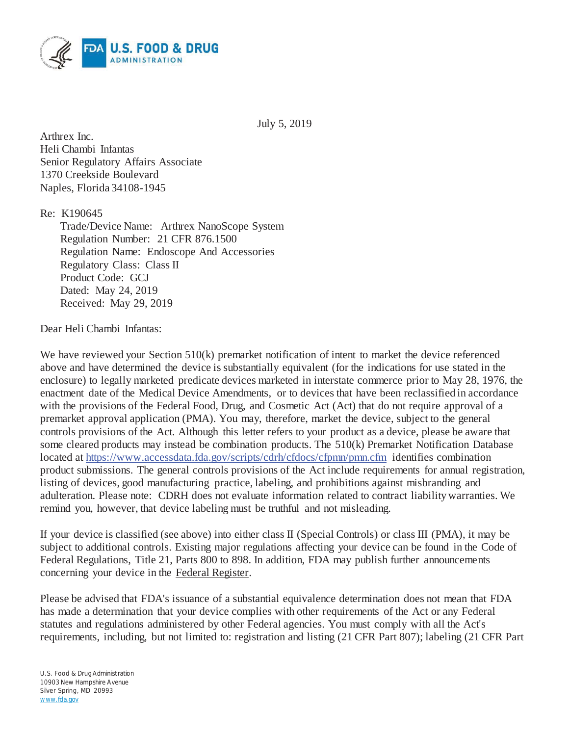

July 5, 2019

Arthrex Inc. Heli Chambi Infantas Senior Regulatory Affairs Associate 1370 Creekside Boulevard Naples, Florida 34108-1945

Re: K190645

Trade/Device Name: Arthrex NanoScope System Regulation Number: 21 CFR 876.1500 Regulation Name: Endoscope And Accessories Regulatory Class: Class II Product Code: GCJ Dated: May 24, 2019 Received: May 29, 2019

## Dear Heli Chambi Infantas:

We have reviewed your Section 510(k) premarket notification of intent to market the device referenced above and have determined the device is substantially equivalent (for the indications for use stated in the enclosure) to legally marketed predicate devices marketed in interstate commerce prior to May 28, 1976, the enactment date of the Medical Device Amendments, or to devices that have been reclassified in accordance with the provisions of the Federal Food, Drug, and Cosmetic Act (Act) that do not require approval of a premarket approval application (PMA). You may, therefore, market the device, subject to the general controls provisions of the Act. Although this letter refers to your product as a device, please be aware that some cleared products may instead be combination products. The 510(k) Premarket Notification Database located at https://www.accessdata.fda.gov/scripts/cdrh/cfdocs/cfpmn/pmn.cfm identifies combination product submissions. The general controls provisions of the Act include requirements for annual registration, listing of devices, good manufacturing practice, labeling, and prohibitions against misbranding and adulteration. Please note: CDRH does not evaluate information related to contract liability warranties. We remind you, however, that device labeling must be truthful and not misleading.

If your device is classified (see above) into either class II (Special Controls) or class III (PMA), it may be subject to additional controls. Existing major regulations affecting your device can be found in the Code of Federal Regulations, Title 21, Parts 800 to 898. In addition, FDA may publish further announcements concerning your device in the Federal Register.

Please be advised that FDA's issuance of a substantial equivalence determination does not mean that FDA has made a determination that your device complies with other requirements of the Act or any Federal statutes and regulations administered by other Federal agencies. You must comply with all the Act's requirements, including, but not limited to: registration and listing (21 CFR Part 807); labeling (21 CFR Part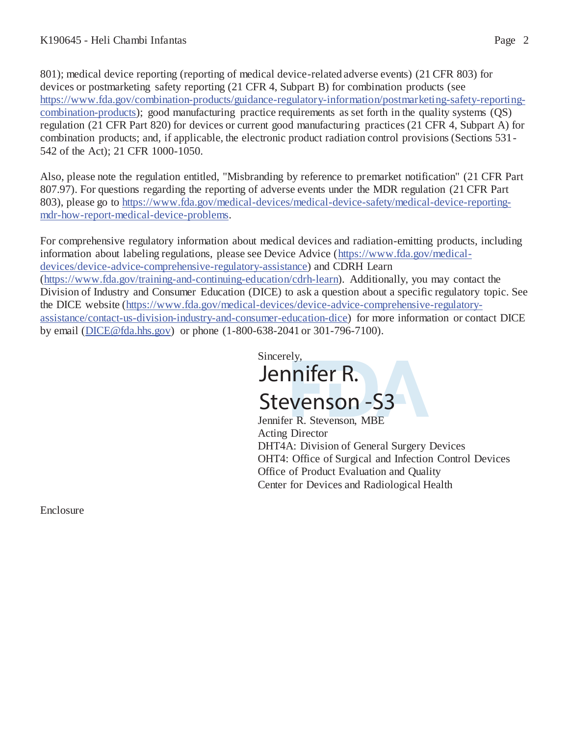801); medical device reporting (reporting of medical device-related adverse events) (21 CFR 803) for devices or postmarketing safety reporting (21 CFR 4, Subpart B) for combination products (see https://www.fda.gov/combination-products/guidance-regulatory-information/postmarketing-safety-reportingcombination-products); good manufacturing practice requirements as set forth in the quality systems (QS) regulation (21 CFR Part 820) for devices or current good manufacturing practices (21 CFR 4, Subpart A) for combination products; and, if applicable, the electronic product radiation control provisions (Sections 531- 542 of the Act); 21 CFR 1000-1050.

Also, please note the regulation entitled, "Misbranding by reference to premarket notification" (21 CFR Part 807.97). For questions regarding the reporting of adverse events under the MDR regulation (21 CFR Part 803), please go to https://www.fda.gov/medical-devices/medical-device-safety/medical-device-reportingmdr-how-report-medical-device-problems.

For comprehensive regulatory information about medical devices and radiation-emitting products, including information about labeling regulations, please see Device Advice (https://www.fda.gov/medicaldevices/device-advice-comprehensive-regulatory-assistance) and CDRH Learn (https://www.fda.gov/training-and-continuing-education/cdrh-learn). Additionally, you may contact the Division of Industry and Consumer Education (DICE) to ask a question about a specific regulatory topic. See the DICE website (https://www.fda.gov/medical-devices/device-advice-comprehensive-regulatoryassistance/contact-us-division-industry-and-consumer-education-dice) for more information or contact DICE by email (DICE@fda.hhs.gov) or phone (1-800-638-2041 or 301-796-7100).

> Sincerely, Jennifer R. Stevenson -S3

Jennifer R. Stevenson, MBE Acting Director DHT4A: Division of General Surgery Devices OHT4: Office of Surgical and Infection Control Devices Office of Product Evaluation and Quality Center for Devices and Radiological Health

Enclosure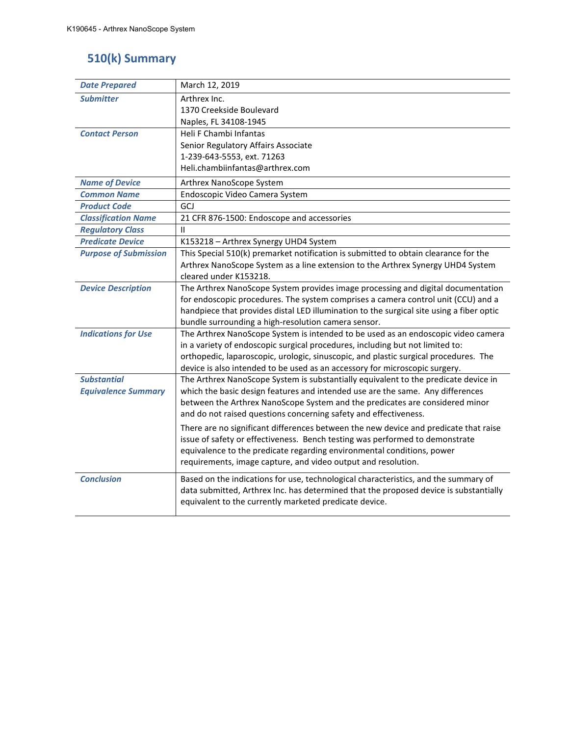# **510(k) Summary**

| <b>Date Prepared</b>         | March 12, 2019                                                                                                                                   |  |
|------------------------------|--------------------------------------------------------------------------------------------------------------------------------------------------|--|
| <b>Submitter</b>             | Arthrex Inc.                                                                                                                                     |  |
|                              | 1370 Creekside Boulevard                                                                                                                         |  |
|                              | Naples, FL 34108-1945                                                                                                                            |  |
| <b>Contact Person</b>        | Heli F Chambi Infantas                                                                                                                           |  |
|                              | Senior Regulatory Affairs Associate                                                                                                              |  |
|                              | 1-239-643-5553, ext. 71263                                                                                                                       |  |
|                              | Heli.chambiinfantas@arthrex.com                                                                                                                  |  |
| <b>Name of Device</b>        | Arthrex NanoScope System                                                                                                                         |  |
| <b>Common Name</b>           | Endoscopic Video Camera System                                                                                                                   |  |
| <b>Product Code</b>          | GCJ                                                                                                                                              |  |
| <b>Classification Name</b>   | 21 CFR 876-1500: Endoscope and accessories                                                                                                       |  |
| <b>Regulatory Class</b>      | Ш                                                                                                                                                |  |
| <b>Predicate Device</b>      | K153218 - Arthrex Synergy UHD4 System                                                                                                            |  |
| <b>Purpose of Submission</b> | This Special 510(k) premarket notification is submitted to obtain clearance for the                                                              |  |
|                              | Arthrex NanoScope System as a line extension to the Arthrex Synergy UHD4 System                                                                  |  |
|                              | cleared under K153218.                                                                                                                           |  |
| <b>Device Description</b>    | The Arthrex NanoScope System provides image processing and digital documentation                                                                 |  |
|                              | for endoscopic procedures. The system comprises a camera control unit (CCU) and a                                                                |  |
|                              | handpiece that provides distal LED illumination to the surgical site using a fiber optic                                                         |  |
|                              | bundle surrounding a high-resolution camera sensor.                                                                                              |  |
| <b>Indications for Use</b>   | The Arthrex NanoScope System is intended to be used as an endoscopic video camera                                                                |  |
|                              | in a variety of endoscopic surgical procedures, including but not limited to:                                                                    |  |
|                              | orthopedic, laparoscopic, urologic, sinuscopic, and plastic surgical procedures. The                                                             |  |
|                              | device is also intended to be used as an accessory for microscopic surgery.                                                                      |  |
| <b>Substantial</b>           | The Arthrex NanoScope System is substantially equivalent to the predicate device in                                                              |  |
| <b>Equivalence Summary</b>   | which the basic design features and intended use are the same. Any differences                                                                   |  |
|                              | between the Arthrex NanoScope System and the predicates are considered minor<br>and do not raised questions concerning safety and effectiveness. |  |
|                              |                                                                                                                                                  |  |
|                              | There are no significant differences between the new device and predicate that raise                                                             |  |
|                              | issue of safety or effectiveness. Bench testing was performed to demonstrate                                                                     |  |
|                              | equivalence to the predicate regarding environmental conditions, power                                                                           |  |
|                              | requirements, image capture, and video output and resolution.                                                                                    |  |
| <b>Conclusion</b>            | Based on the indications for use, technological characteristics, and the summary of                                                              |  |
|                              | data submitted, Arthrex Inc. has determined that the proposed device is substantially                                                            |  |
|                              | equivalent to the currently marketed predicate device.                                                                                           |  |
|                              |                                                                                                                                                  |  |